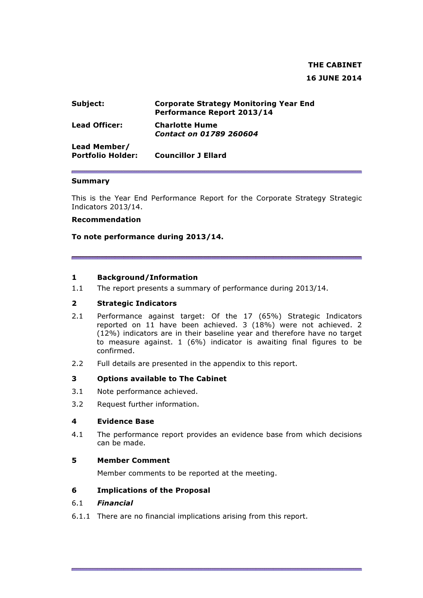# THE CABINET 16 JUNE 2014

| Subject:                                 | <b>Corporate Strategy Monitoring Year End</b><br>Performance Report 2013/14 |
|------------------------------------------|-----------------------------------------------------------------------------|
| <b>Lead Officer:</b>                     | <b>Charlotte Hume</b><br>Contact on 01789 260604                            |
| Lead Member/<br><b>Portfolio Holder:</b> | <b>Councillor J Ellard</b>                                                  |

#### Summary

This is the Year End Performance Report for the Corporate Strategy Strategic Indicators 2013/14.

#### Recommendation

To note performance during 2013/14.

#### 1 Background/Information

1.1 The report presents a summary of performance during 2013/14.

#### 2 Strategic Indicators

- 2.1 Performance against target: Of the 17 (65%) Strategic Indicators reported on 11 have been achieved. 3 (18%) were not achieved. 2 (12%) indicators are in their baseline year and therefore have no target to measure against. 1 (6%) indicator is awaiting final figures to be confirmed.
- 2.2 Full details are presented in the appendix to this report.

### 3 Options available to The Cabinet

- 3.1 Note performance achieved.
- 3.2 Request further information.

#### 4 Evidence Base

4.1 The performance report provides an evidence base from which decisions can be made.

#### 5 Member Comment

Member comments to be reported at the meeting.

#### 6 Implications of the Proposal

### 6.1 Financial

6.1.1 There are no financial implications arising from this report.